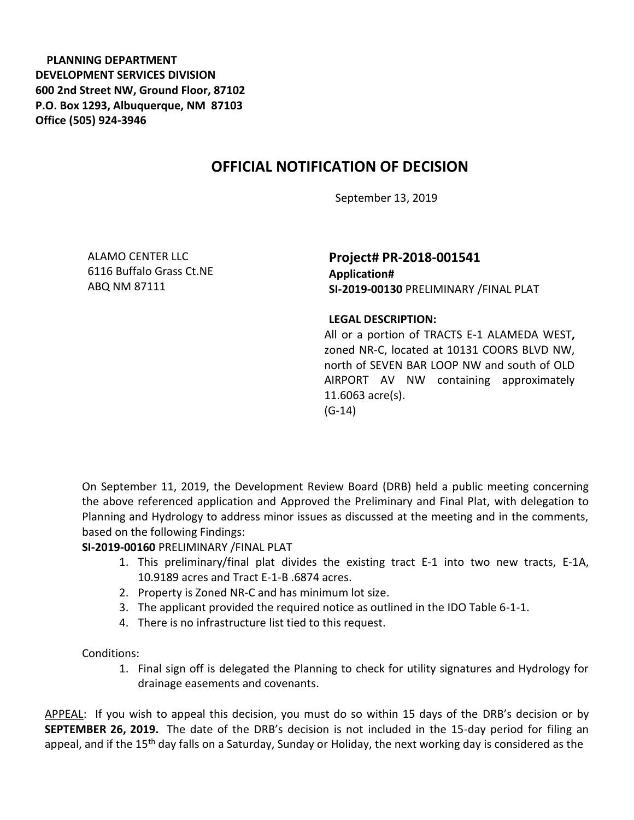**PLANNING DEPARTMENT DEVELOPMENT SERVICES DIVISION 600 2nd Street NW, Ground Floor, 87102 P.O. Box 1293, Albuquerque, NM 87103 Office (505) 924-3946** 

## **OFFICIAL NOTIFICATION OF DECISION**

September 13, 2019

ALAMO CENTER LLC 6116 Buffalo Grass Ct.NE ABQ NM 87111

**Project# PR-2018-001541 Application# SI-2019-00130** PRELIMINARY /FINAL PLAT

**LEGAL DESCRIPTION:**

All or a portion of TRACTS E-1 ALAMEDA WEST**,**  zoned NR-C, located at 10131 COORS BLVD NW, north of SEVEN BAR LOOP NW and south of OLD AIRPORT AV NW containing approximately 11.6063 acre(s). (G-14)

On September 11, 2019, the Development Review Board (DRB) held a public meeting concerning the above referenced application and Approved the Preliminary and Final Plat, with delegation to Planning and Hydrology to address minor issues as discussed at the meeting and in the comments, based on the following Findings:

## **SI-2019-00160** PRELIMINARY /FINAL PLAT

- 1. This preliminary/final plat divides the existing tract E-1 into two new tracts, E-1A, 10.9189 acres and Tract E-1-B .6874 acres.
- 2. Property is Zoned NR-C and has minimum lot size.
- 3. The applicant provided the required notice as outlined in the IDO Table 6-1-1.
- 4. There is no infrastructure list tied to this request.

Conditions:

1. Final sign off is delegated the Planning to check for utility signatures and Hydrology for drainage easements and covenants.

APPEAL: If you wish to appeal this decision, you must do so within 15 days of the DRB's decision or by **SEPTEMBER 26, 2019.** The date of the DRB's decision is not included in the 15-day period for filing an appeal, and if the 15<sup>th</sup> day falls on a Saturday, Sunday or Holiday, the next working day is considered as the